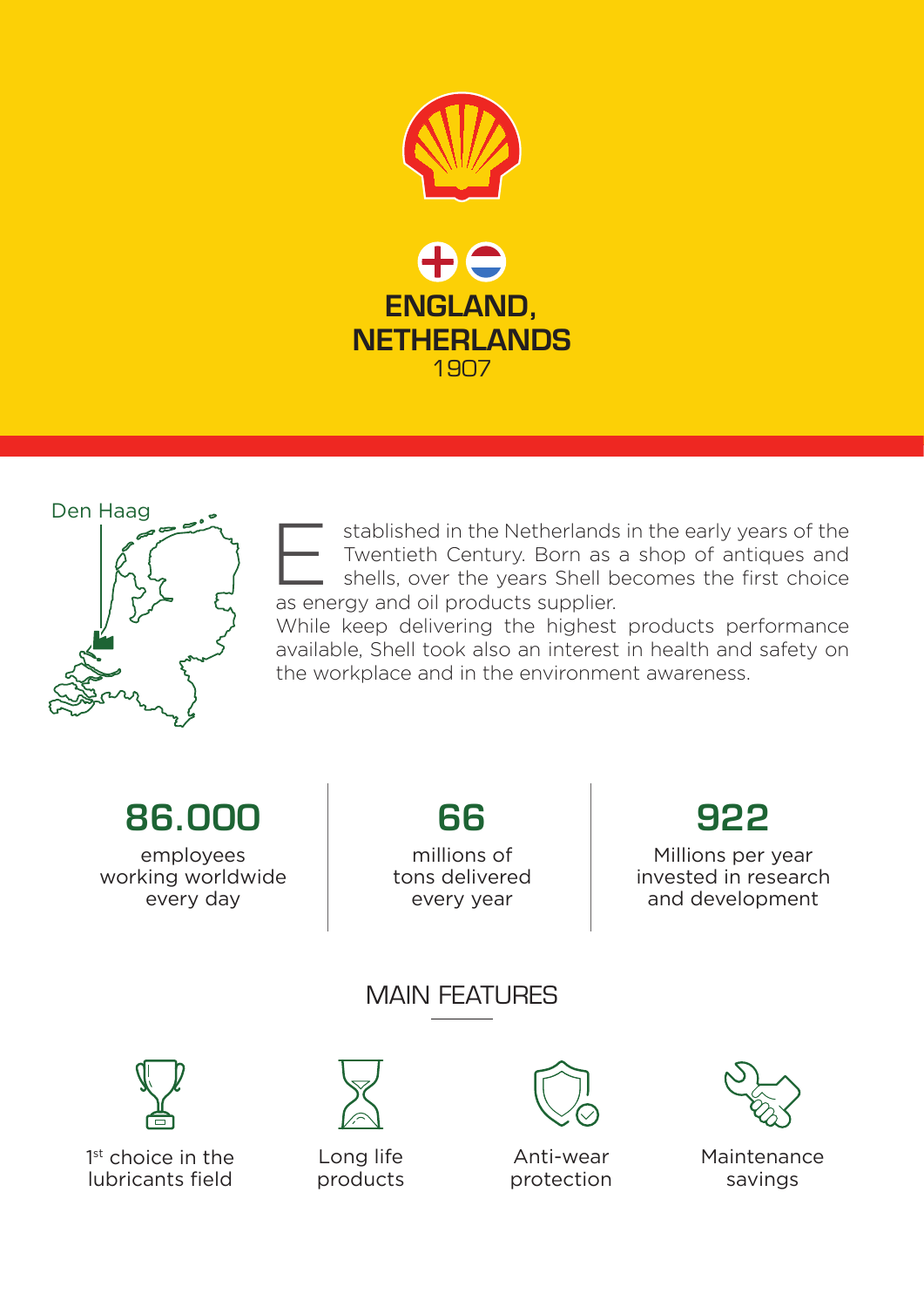



stablished in the Netherlands in the early years of the Twentieth Century. Born as a shop of antiques and shells, over the years Shell becomes the first choice as energy and oil products supplier. E

While keep delivering the highest products performance available, Shell took also an interest in health and safety on the workplace and in the environment awareness.

86.000

employees working worldwide every day

66 millions of tons delivered

every year

## 922

Millions per year invested in research and development

MAIN FEATURES



1<sup>st</sup> choice in the lubricants field



Long life products



Anti-wear protection



Maintenance savings